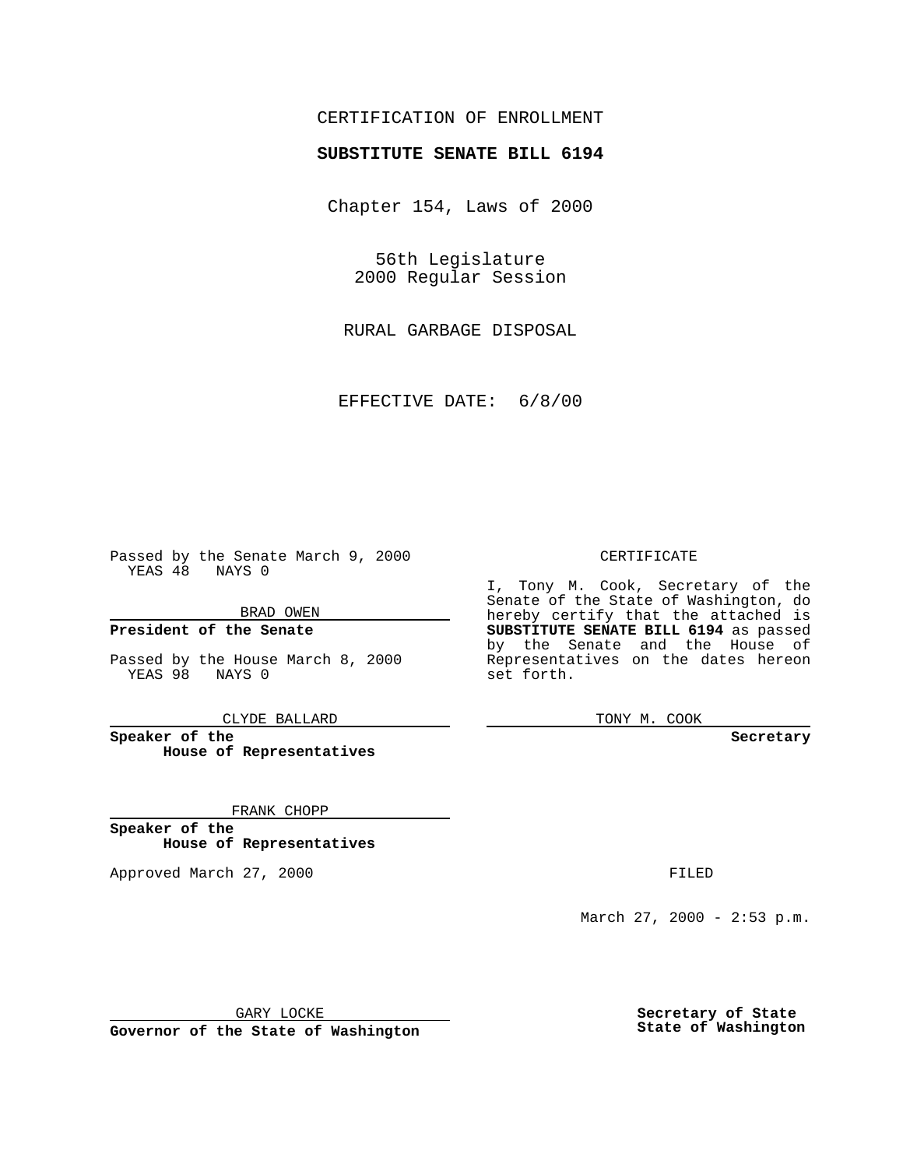## CERTIFICATION OF ENROLLMENT

# **SUBSTITUTE SENATE BILL 6194**

Chapter 154, Laws of 2000

56th Legislature 2000 Regular Session

RURAL GARBAGE DISPOSAL

EFFECTIVE DATE: 6/8/00

Passed by the Senate March 9, 2000 YEAS 48 NAYS 0

BRAD OWEN

**President of the Senate**

Passed by the House March 8, 2000 YEAS 98 NAYS 0

CLYDE BALLARD

**Speaker of the House of Representatives**

FRANK CHOPP

**Speaker of the House of Representatives**

Approved March 27, 2000 FILED

#### CERTIFICATE

I, Tony M. Cook, Secretary of the Senate of the State of Washington, do hereby certify that the attached is **SUBSTITUTE SENATE BILL 6194** as passed by the Senate and the House of Representatives on the dates hereon set forth.

TONY M. COOK

**Secretary**

March 27, 2000 - 2:53 p.m.

GARY LOCKE

**Governor of the State of Washington**

**Secretary of State State of Washington**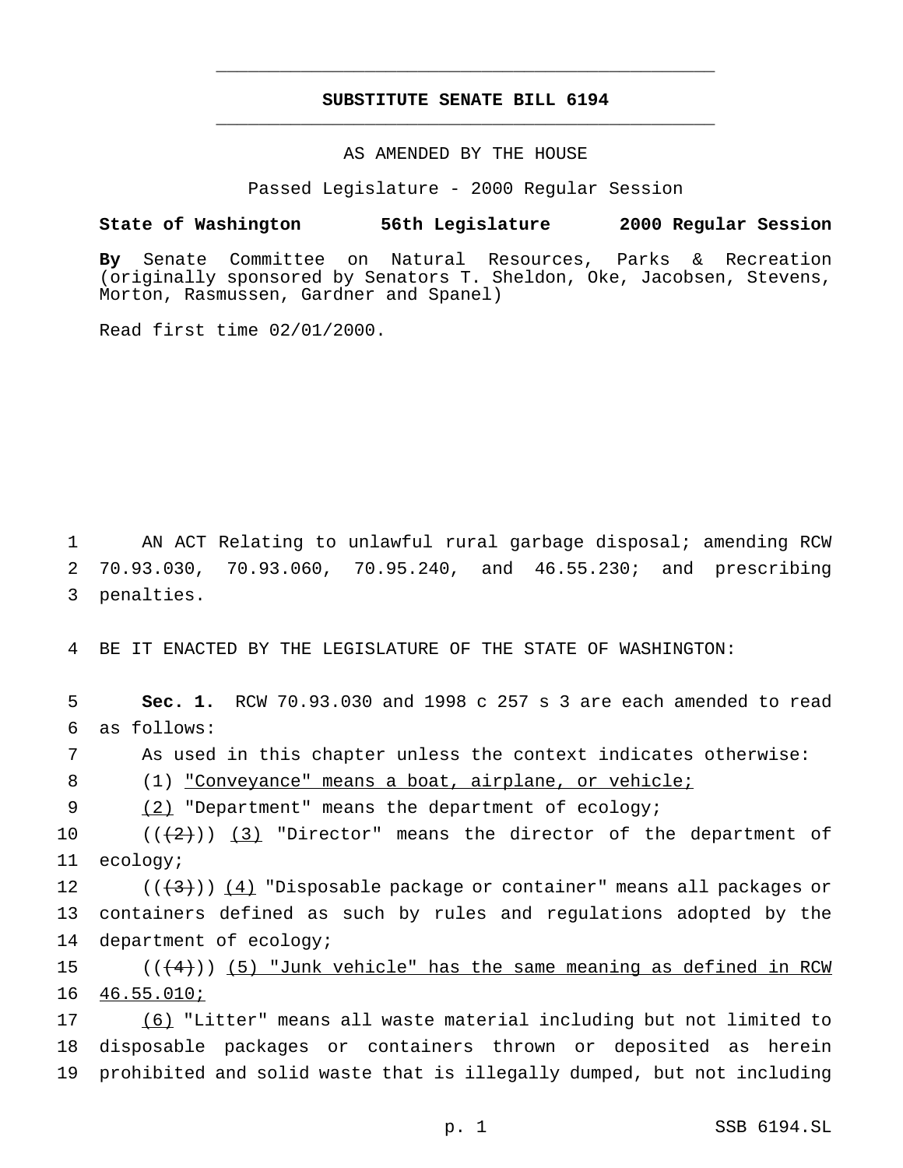## **SUBSTITUTE SENATE BILL 6194** \_\_\_\_\_\_\_\_\_\_\_\_\_\_\_\_\_\_\_\_\_\_\_\_\_\_\_\_\_\_\_\_\_\_\_\_\_\_\_\_\_\_\_\_\_\_\_

\_\_\_\_\_\_\_\_\_\_\_\_\_\_\_\_\_\_\_\_\_\_\_\_\_\_\_\_\_\_\_\_\_\_\_\_\_\_\_\_\_\_\_\_\_\_\_

### AS AMENDED BY THE HOUSE

Passed Legislature - 2000 Regular Session

#### **State of Washington 56th Legislature 2000 Regular Session**

**By** Senate Committee on Natural Resources, Parks & Recreation (originally sponsored by Senators T. Sheldon, Oke, Jacobsen, Stevens, Morton, Rasmussen, Gardner and Spanel)

Read first time 02/01/2000.

1 AN ACT Relating to unlawful rural garbage disposal; amending RCW 2 70.93.030, 70.93.060, 70.95.240, and 46.55.230; and prescribing 3 penalties.

4 BE IT ENACTED BY THE LEGISLATURE OF THE STATE OF WASHINGTON:

5 **Sec. 1.** RCW 70.93.030 and 1998 c 257 s 3 are each amended to read 6 as follows:

7 As used in this chapter unless the context indicates otherwise:

8 (1) "Conveyance" means a boat, airplane, or vehicle;

9 (2) "Department" means the department of ecology;

10  $((2))$   $(3)$  "Director" means the director of the department of 11 ecology;

12  $((+3))$   $(4)$  "Disposable package or container" means all packages or 13 containers defined as such by rules and regulations adopted by the 14 department of ecology;

15  $((+4))$  (5) "Junk vehicle" has the same meaning as defined in RCW 16 46.55.010;

17 (6) "Litter" means all waste material including but not limited to 18 disposable packages or containers thrown or deposited as herein 19 prohibited and solid waste that is illegally dumped, but not including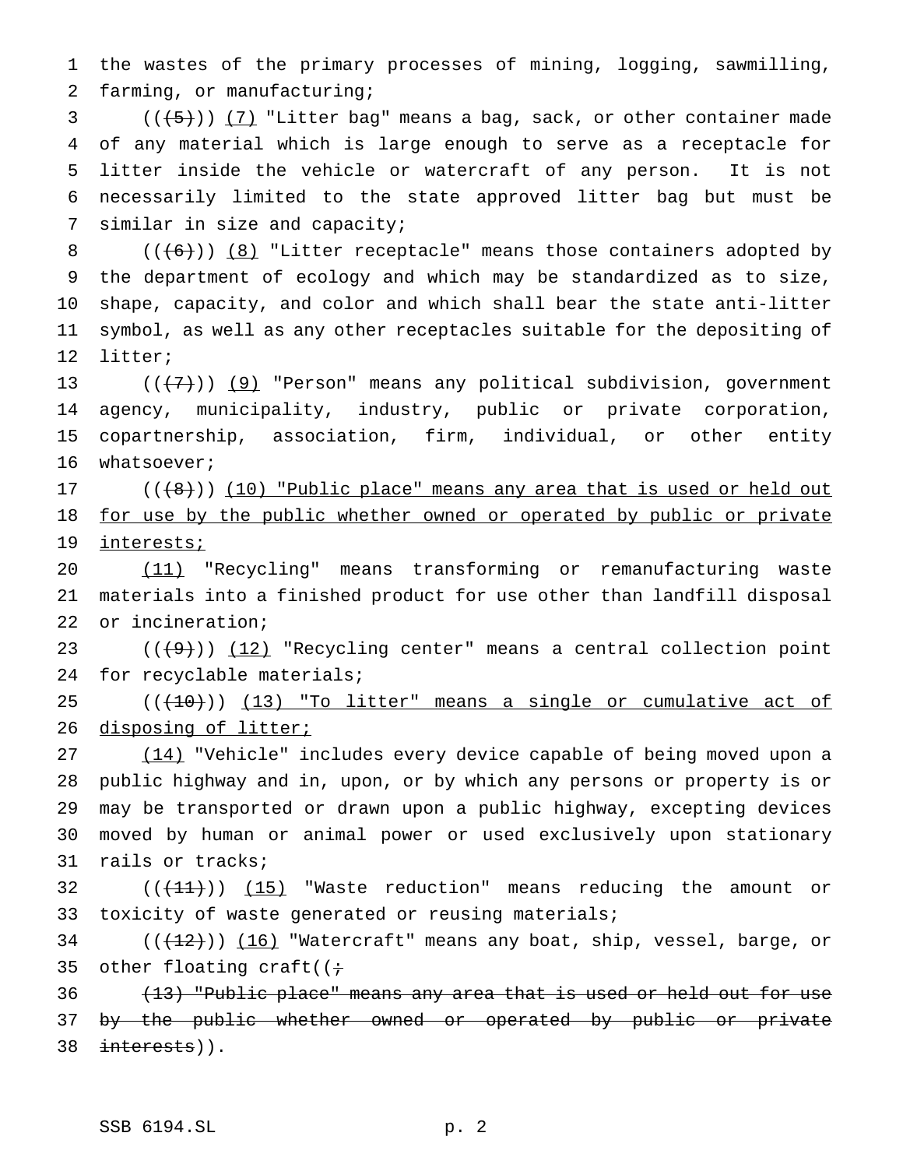the wastes of the primary processes of mining, logging, sawmilling, farming, or manufacturing;

 ( $(\frac{+5}{})$ ) (7) "Litter bag" means a bag, sack, or other container made of any material which is large enough to serve as a receptacle for litter inside the vehicle or watercraft of any person. It is not necessarily limited to the state approved litter bag but must be similar in size and capacity;

 $((+6))$   $(8)$  "Litter receptacle" means those containers adopted by the department of ecology and which may be standardized as to size, shape, capacity, and color and which shall bear the state anti-litter symbol, as well as any other receptacles suitable for the depositing of litter;

 $((\langle 7 \rangle)(9)$  "Person" means any political subdivision, government agency, municipality, industry, public or private corporation, copartnership, association, firm, individual, or other entity whatsoever;

 $((+8))$  (10) "Public place" means any area that is used or held out 18 for use by the public whether owned or operated by public or private interests;

 (11) "Recycling" means transforming or remanufacturing waste materials into a finished product for use other than landfill disposal or incineration;

23  $((+9))$   $(12)$  "Recycling center" means a central collection point for recyclable materials;

  $((+10))$   $(13)$  "To litter" means a single or cumulative act of 26 disposing of litter;

 (14) "Vehicle" includes every device capable of being moved upon a public highway and in, upon, or by which any persons or property is or may be transported or drawn upon a public highway, excepting devices moved by human or animal power or used exclusively upon stationary rails or tracks;

32  $((+11))$   $(15)$  "Waste reduction" means reducing the amount or toxicity of waste generated or reusing materials;

34  $((+12))$   $(16)$  "Watercraft" means any boat, ship, vessel, barge, or 35 other floating craft( $(i \div)$ 

 (13) "Public place" means any area that is used or held out for use 37 by the public whether owned or operated by public or private 38 interests)).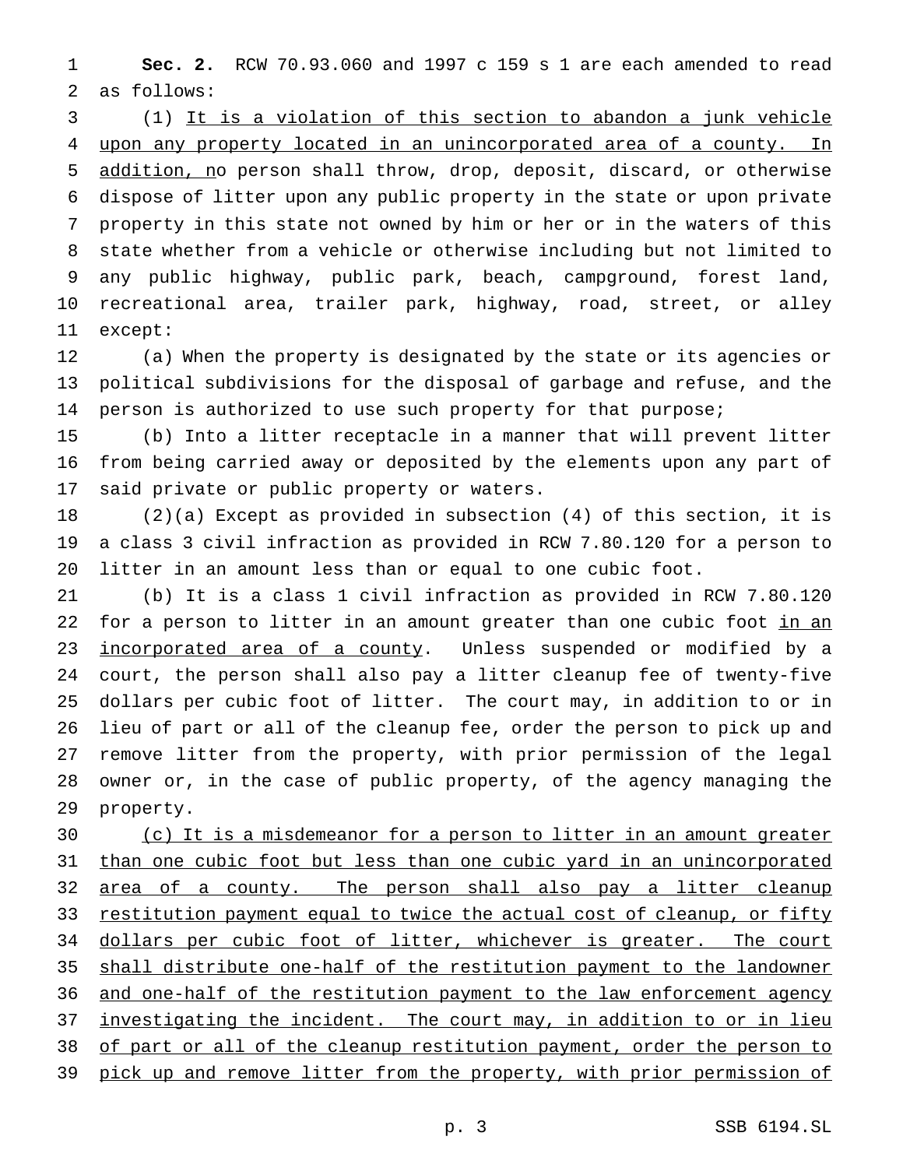**Sec. 2.** RCW 70.93.060 and 1997 c 159 s 1 are each amended to read as follows:

 (1) It is a violation of this section to abandon a junk vehicle upon any property located in an unincorporated area of a county. In addition, no person shall throw, drop, deposit, discard, or otherwise dispose of litter upon any public property in the state or upon private property in this state not owned by him or her or in the waters of this state whether from a vehicle or otherwise including but not limited to any public highway, public park, beach, campground, forest land, recreational area, trailer park, highway, road, street, or alley except:

 (a) When the property is designated by the state or its agencies or political subdivisions for the disposal of garbage and refuse, and the 14 person is authorized to use such property for that purpose;

 (b) Into a litter receptacle in a manner that will prevent litter from being carried away or deposited by the elements upon any part of said private or public property or waters.

 (2)(a) Except as provided in subsection (4) of this section, it is a class 3 civil infraction as provided in RCW 7.80.120 for a person to litter in an amount less than or equal to one cubic foot.

 (b) It is a class 1 civil infraction as provided in RCW 7.80.120 22 for a person to litter in an amount greater than one cubic foot in an 23 incorporated area of a county. Unless suspended or modified by a court, the person shall also pay a litter cleanup fee of twenty-five dollars per cubic foot of litter. The court may, in addition to or in lieu of part or all of the cleanup fee, order the person to pick up and remove litter from the property, with prior permission of the legal owner or, in the case of public property, of the agency managing the property.

 (c) It is a misdemeanor for a person to litter in an amount greater 31 than one cubic foot but less than one cubic yard in an unincorporated 32 area of a county. The person shall also pay a litter cleanup 33 restitution payment equal to twice the actual cost of cleanup, or fifty 34 dollars per cubic foot of litter, whichever is greater. The court shall distribute one-half of the restitution payment to the landowner 36 and one-half of the restitution payment to the law enforcement agency 37 investigating the incident. The court may, in addition to or in lieu 38 of part or all of the cleanup restitution payment, order the person to 39 pick up and remove litter from the property, with prior permission of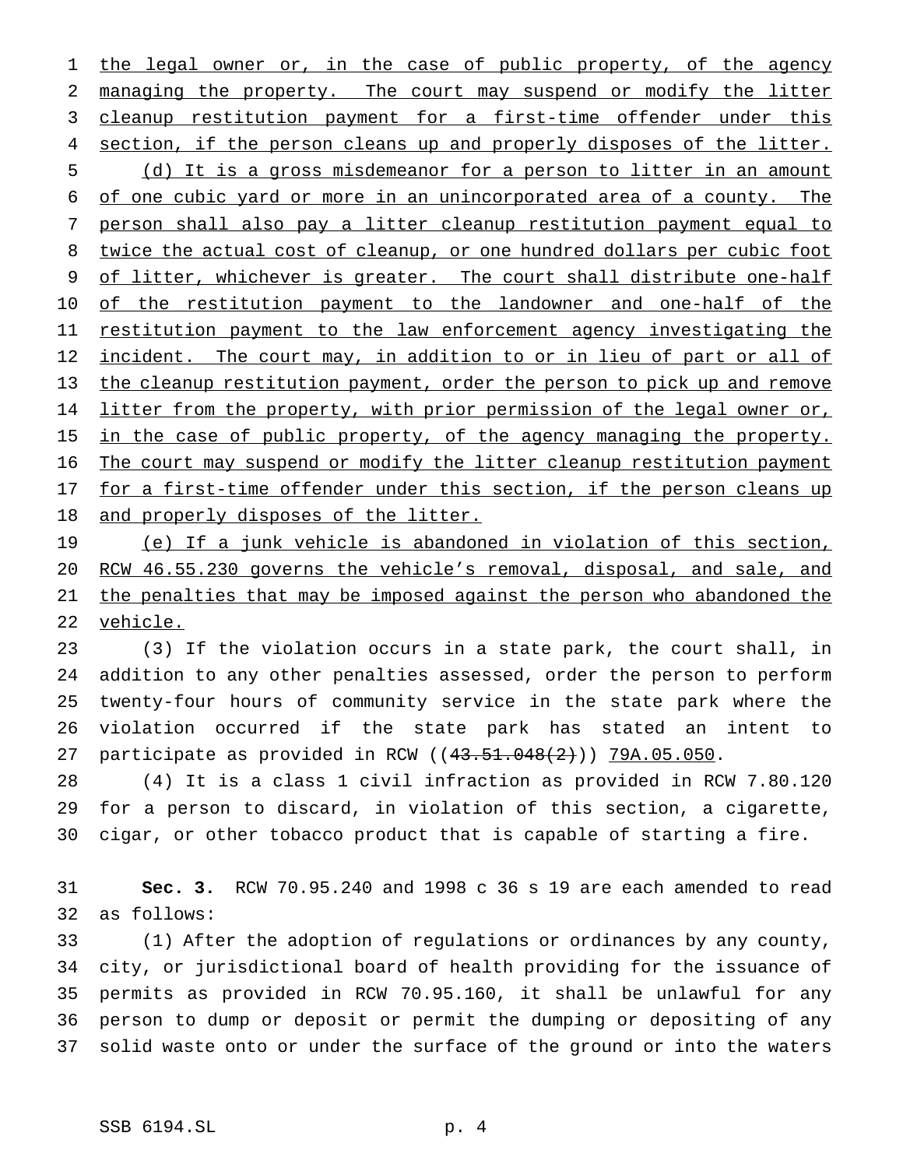1 the legal owner or, in the case of public property, of the agency managing the property. The court may suspend or modify the litter 3 cleanup restitution payment for a first-time offender under this 4 section, if the person cleans up and properly disposes of the litter. (d) It is a gross misdemeanor for a person to litter in an amount of one cubic yard or more in an unincorporated area of a county. The person shall also pay a litter cleanup restitution payment equal to twice the actual cost of cleanup, or one hundred dollars per cubic foot of litter, whichever is greater. The court shall distribute one-half 10 of the restitution payment to the landowner and one-half of the 11 restitution payment to the law enforcement agency investigating the 12 incident. The court may, in addition to or in lieu of part or all of the cleanup restitution payment, order the person to pick up and remove 14 litter from the property, with prior permission of the legal owner or, 15 in the case of public property, of the agency managing the property. The court may suspend or modify the litter cleanup restitution payment 17 for a first-time offender under this section, if the person cleans up 18 and properly disposes of the litter.

 (e) If a junk vehicle is abandoned in violation of this section, RCW 46.55.230 governs the vehicle's removal, disposal, and sale, and the penalties that may be imposed against the person who abandoned the vehicle.

 (3) If the violation occurs in a state park, the court shall, in addition to any other penalties assessed, order the person to perform twenty-four hours of community service in the state park where the violation occurred if the state park has stated an intent to participate as provided in RCW ((43.51.048(2))) 79A.05.050.

 (4) It is a class 1 civil infraction as provided in RCW 7.80.120 for a person to discard, in violation of this section, a cigarette, cigar, or other tobacco product that is capable of starting a fire.

 **Sec. 3.** RCW 70.95.240 and 1998 c 36 s 19 are each amended to read as follows:

 (1) After the adoption of regulations or ordinances by any county, city, or jurisdictional board of health providing for the issuance of permits as provided in RCW 70.95.160, it shall be unlawful for any person to dump or deposit or permit the dumping or depositing of any solid waste onto or under the surface of the ground or into the waters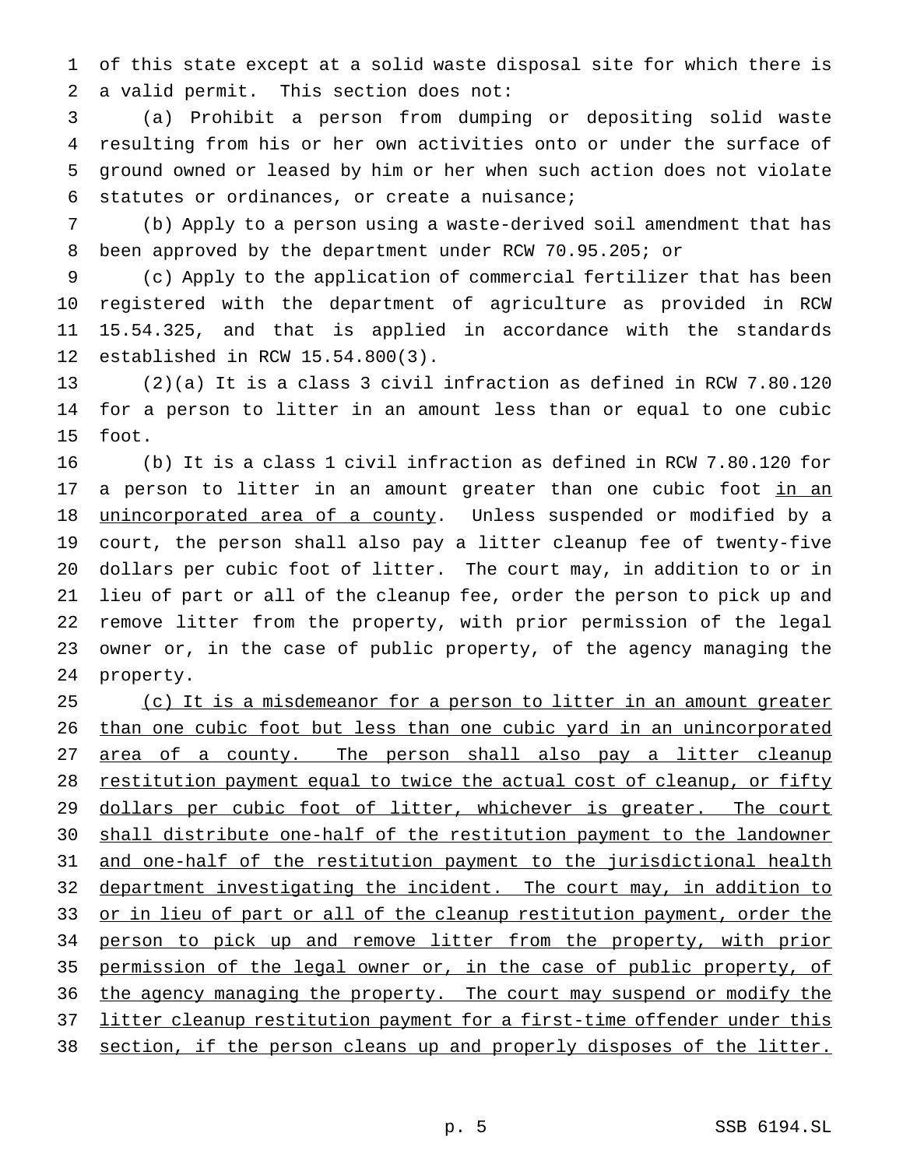of this state except at a solid waste disposal site for which there is a valid permit. This section does not:

 (a) Prohibit a person from dumping or depositing solid waste resulting from his or her own activities onto or under the surface of ground owned or leased by him or her when such action does not violate statutes or ordinances, or create a nuisance;

 (b) Apply to a person using a waste-derived soil amendment that has been approved by the department under RCW 70.95.205; or

 (c) Apply to the application of commercial fertilizer that has been registered with the department of agriculture as provided in RCW 15.54.325, and that is applied in accordance with the standards established in RCW 15.54.800(3).

 (2)(a) It is a class 3 civil infraction as defined in RCW 7.80.120 for a person to litter in an amount less than or equal to one cubic foot.

 (b) It is a class 1 civil infraction as defined in RCW 7.80.120 for 17 a person to litter in an amount greater than one cubic foot in an 18 unincorporated area of a county. Unless suspended or modified by a court, the person shall also pay a litter cleanup fee of twenty-five dollars per cubic foot of litter. The court may, in addition to or in lieu of part or all of the cleanup fee, order the person to pick up and remove litter from the property, with prior permission of the legal owner or, in the case of public property, of the agency managing the property.

25 (c) It is a misdemeanor for a person to litter in an amount greater than one cubic foot but less than one cubic yard in an unincorporated 27 area of a county. The person shall also pay a litter cleanup 28 restitution payment equal to twice the actual cost of cleanup, or fifty 29 dollars per cubic foot of litter, whichever is greater. The court shall distribute one-half of the restitution payment to the landowner and one-half of the restitution payment to the jurisdictional health department investigating the incident. The court may, in addition to 33 or in lieu of part or all of the cleanup restitution payment, order the 34 person to pick up and remove litter from the property, with prior permission of the legal owner or, in the case of public property, of 36 the agency managing the property. The court may suspend or modify the 37 litter cleanup restitution payment for a first-time offender under this 38 section, if the person cleans up and properly disposes of the litter.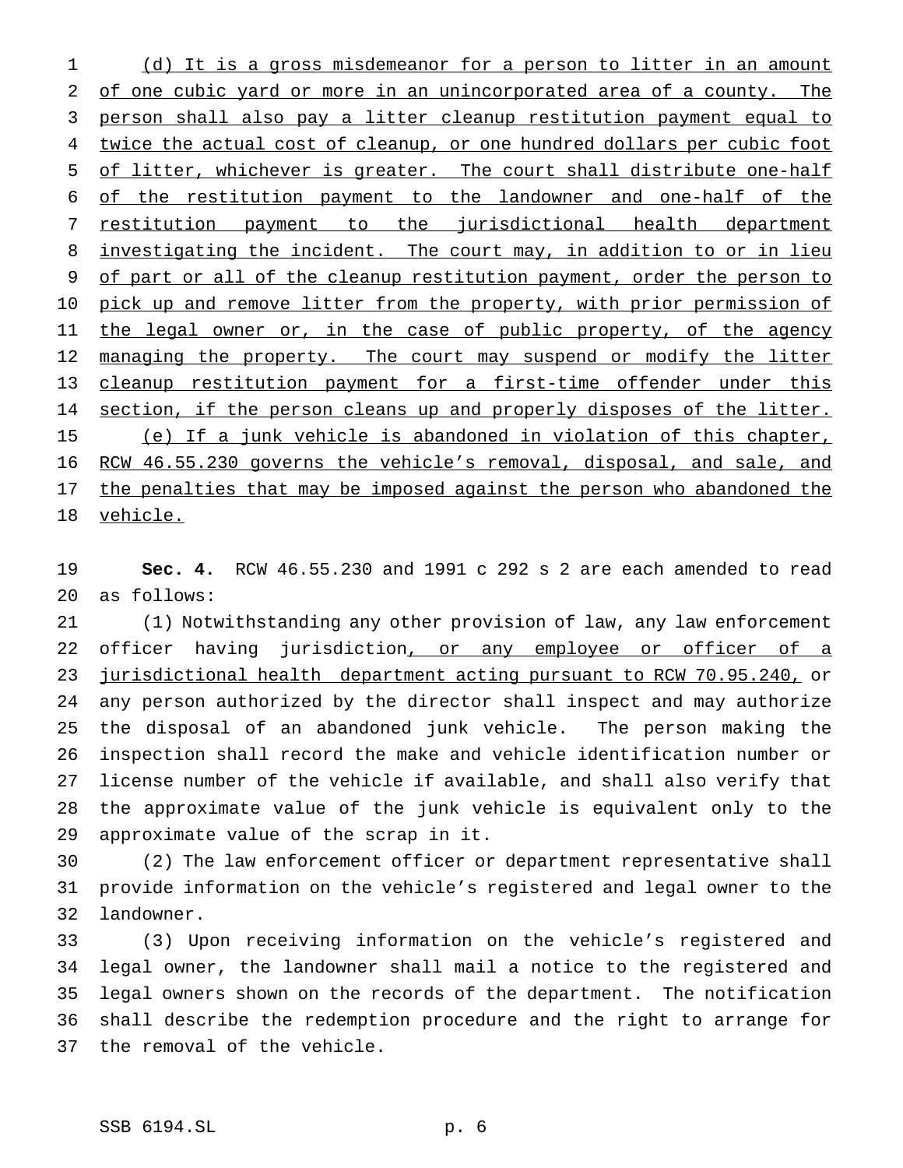(d) It is a gross misdemeanor for a person to litter in an amount of one cubic yard or more in an unincorporated area of a county. The person shall also pay a litter cleanup restitution payment equal to 4 twice the actual cost of cleanup, or one hundred dollars per cubic foot of litter, whichever is greater. The court shall distribute one-half of the restitution payment to the landowner and one-half of the 7 restitution payment to the jurisdictional health department 8 investigating the incident. The court may, in addition to or in lieu 9 of part or all of the cleanup restitution payment, order the person to 10 pick up and remove litter from the property, with prior permission of 11 the legal owner or, in the case of public property, of the agency 12 managing the property. The court may suspend or modify the litter cleanup restitution payment for a first-time offender under this 14 section, if the person cleans up and properly disposes of the litter. (e) If a junk vehicle is abandoned in violation of this chapter, RCW 46.55.230 governs the vehicle's removal, disposal, and sale, and 17 the penalties that may be imposed against the person who abandoned the vehicle.

 **Sec. 4.** RCW 46.55.230 and 1991 c 292 s 2 are each amended to read as follows:

 (1) Notwithstanding any other provision of law, any law enforcement 22 officer having jurisdiction, or any employee or officer of a jurisdictional health department acting pursuant to RCW 70.95.240, or any person authorized by the director shall inspect and may authorize the disposal of an abandoned junk vehicle. The person making the inspection shall record the make and vehicle identification number or license number of the vehicle if available, and shall also verify that the approximate value of the junk vehicle is equivalent only to the approximate value of the scrap in it.

 (2) The law enforcement officer or department representative shall provide information on the vehicle's registered and legal owner to the landowner.

 (3) Upon receiving information on the vehicle's registered and legal owner, the landowner shall mail a notice to the registered and legal owners shown on the records of the department. The notification shall describe the redemption procedure and the right to arrange for the removal of the vehicle.